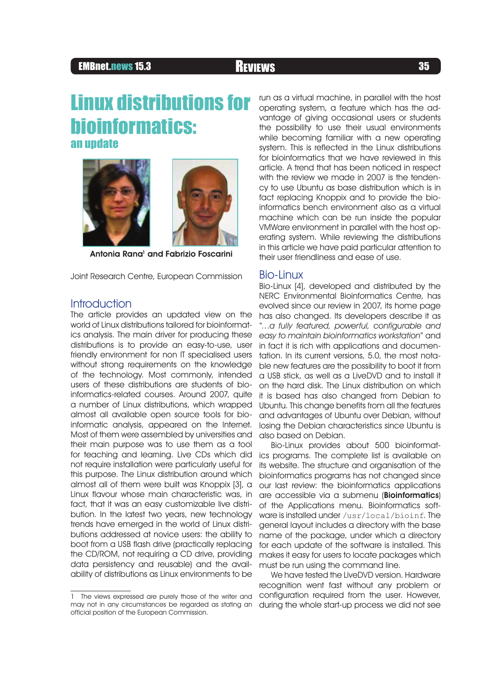# EMBnet.news 15.3 **REVIEWS REVIEWS 35**

# Linux distributions for bioinformatics: an update



Antonia Rana<sup>1</sup> and Fabrizio Foscarini

Joint Research Centre, European Commission

### **Introduction**

The article provides an updated view on the world of Linux distributions tailored for bioinformatics analysis. The main driver for producing these distributions is to provide an easy-to-use, user friendly environment for non IT specialised users without strong requirements on the knowledge of the technology. Most commonly, intended users of these distributions are students of bioinformatics-related courses. Around 2007, quite a number of Linux distributions, which wrapped almost all available open source tools for bioinformatic analysis, appeared on the Internet. Most of them were assembled by universities and their main purpose was to use them as a tool for teaching and learning. Live CDs which did not require installation were particularly useful for this purpose. The Linux distribution around which almost all of them were built was Knoppix [3], a Linux flavour whose main characteristic was, in fact, that it was an easy customizable live distribution. In the latest two years, new technology trends have emerged in the world of Linux distributions addressed at novice users: the ability to boot from a USB flash drive (practically replacing the CD/ROM, not requiring a CD drive, providing data persistency and reusable) and the availability of distributions as Linux environments to be

1 The views expressed are purely those of the writer and may not in any circumstances be regarded as stating an official position of the European Commission.

run as a virtual machine, in parallel with the host operating system, a feature which has the advantage of giving occasional users or students the possibility to use their usual environments while becoming familiar with a new operating system. This is reflected in the Linux distributions for bioinformatics that we have reviewed in this article. A trend that has been noticed in respect with the review we made in 2007 is the tendency to use Ubuntu as base distribution which is in fact replacing Knoppix and to provide the bioinformatics bench environment also as a virtual machine which can be run inside the popular VMWare environment in parallel with the host operating system. While reviewing the distributions in this article we have paid particular attention to their user friendliness and ease of use.

### Bio-Linux

Bio-Linux [4], developed and distributed by the NERC Environmental Bioinformatics Centre, has evolved since our review in 2007, its home page has also changed. Its developers describe it as "…a fully featured, powerful, configurable and easy to maintain bioinformatics workstation" and in fact it is rich with applications and documentation. In its current versions, 5.0, the most notable new features are the possibility to boot it from a USB stick, as well as a LiveDVD and to install it on the hard disk. The Linux distribution on which it is based has also changed from Debian to Ubuntu. This change benefits from all the features and advantages of Ubuntu over Debian, without losing the Debian characteristics since Ubuntu is also based on Debian.

Bio-Linux provides about 500 bioinformatics programs. The complete list is available on its website. The structure and organisation of the bioinformatics programs has not changed since our last review: the bioinformatics applications are accessible via a submenu (**Bioinformatics**) of the Applications menu. Bioinformatics software is installed under /usr/local/bioinf. The general layout includes a directory with the base name of the package, under which a directory for each update of the software is installed. This makes it easy for users to locate packages which must be run using the command line.

We have tested the LiveDVD version. Hardware recognition went fast without any problem or configuration required from the user. However, during the whole start-up process we did not see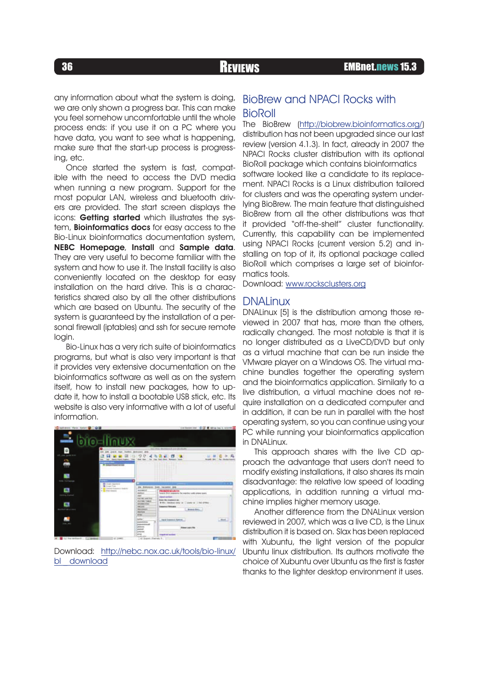any information about what the system is doing, we are only shown a progress bar. This can make you feel somehow uncomfortable until the whole process ends: if you use it on a PC where you have data, you want to see what is happening, make sure that the start-up process is progressing, etc.

Once started the system is fast, compatible with the need to access the DVD media when running a new program. Support for the most popular LAN, wireless and bluetooth drivers are provided. The start screen displays the icons: Getting started which illustrates the system, **Bioinformatics docs** for easy access to the Bio-Linux bioinformatics documentation system, NEBC Homepage, Install and Sample data. They are very useful to become familiar with the system and how to use it. The Install facility is also conveniently located on the desktop for easy installation on the hard drive. This is a characteristics shared also by all the other distributions which are based on Ubuntu. The security of the system is guaranteed by the installation of a personal firewall (iptables) and ssh for secure remote login.

Bio-Linux has a very rich suite of bioinformatics programs, but what is also very important is that it provides very extensive documentation on the bioinformatics software as well as on the system itself, how to install new packages, how to update it, how to install a bootable USB stick, etc. Its website is also very informative with a lot of useful information.



Download: http://nebc.nox.ac.uk/tools/bio-linux/ bl download

# BioBrew and NPACI Rocks with BioRoll

The BioBrew (http://biobrew.bioinformatics.org/) distribution has not been upgraded since our last review (version 4.1.3). In fact, already in 2007 the NPACI Rocks cluster distribution with its optional BioRoll package which contains bioinformatics software looked like a candidate to its replacement. NPACI Rocks is a Linux distribution tailored for clusters and was the operating system underlying BioBrew. The main feature that distinguished BioBrew from all the other distributions was that it provided "off-the-shelf" cluster functionality. Currently, this capability can be implemented using NPACI Rocks (current version 5.2) and installing on top of it, its optional package called BioRoll which comprises a large set of bioinformatics tools.

Download: www.rocksclusters.org

#### **DNALinux**

DNALinux [5] is the distribution among those reviewed in 2007 that has, more than the others, radically changed. The most notable is that it is no longer distributed as a LiveCD/DVD but only as a virtual machine that can be run inside the VMware player on a Windows OS. The virtual machine bundles together the operating system and the bioinformatics application. Similarly to a live distribution, a virtual machine does not require installation on a dedicated computer and in addition, it can be run in parallel with the host operating system, so you can continue using your PC while running your bioinformatics application in DNALinux.

This approach shares with the live CD approach the advantage that users don't need to modify existing installations, it also shares its main disadvantage: the relative low speed of loading applications, in addition running a virtual machine implies higher memory usage.

Another difference from the DNALinux version reviewed in 2007, which was a live CD, is the Linux distribution it is based on. Slax has been replaced with Xubuntu, the light version of the popular Ubuntu linux distribution. Its authors motivate the choice of Xubuntu over Ubuntu as the first is faster thanks to the lighter desktop environment it uses.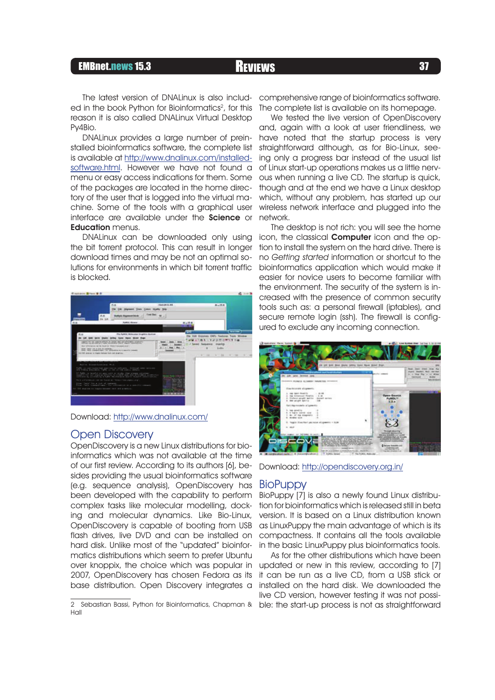# EMBnet.news 15.3 **REVIEWS 27** Reviews **37**

The latest version of DNALinux is also included in the book Python for Bioinformatics<sup>2</sup>, for this reason it is also called DNALinux Virtual Desktop Py4Bio.

DNALinux provides a large number of preinstalled bioinformatics software, the complete list is available at http://www.dnalinux.com/installedsoftware.html. However we have not found a menu or easy access indications for them. Some of the packages are located in the home directory of the user that is logged into the virtual machine. Some of the tools with a graphical user interface are available under the Science or **Education** menus.

DNALinux can be downloaded only using the bit torrent protocol. This can result in longer download times and may be not an optimal solutions for environments in which bit torrent traffic is blocked.



Download: http://www.dnalinux.com/

### Open Discovery

OpenDiscovery is a new Linux distributions for bioinformatics which was not available at the time of our first review. According to its authors [6], besides providing the usual bioinformatics software (e.g. sequence analysis), OpenDiscovery has been developed with the capability to perform complex tasks like molecular modelling, docking and molecular dynamics. Like Bio-Linux, OpenDiscovery is capable of booting from USB flash drives, live DVD and can be installed on hard disk. Unlike most of the "updated" bioinformatics distributions which seem to prefer Ubuntu over knoppix, the choice which was popular in 2007, OpenDiscovery has chosen Fedora as its base distribution. Open Discovery integrates a

comprehensive range of bioinformatics software. The complete list is available on its homepage.

We tested the live version of OpenDiscovery and, again with a look at user friendliness, we have noted that the startup process is very straightforward although, as for Bio-Linux, seeing only a progress bar instead of the usual list of Linux start-up operations makes us a little nervous when running a live CD. The startup is quick, though and at the end we have a Linux desktop which, without any problem, has started up our wireless network interface and plugged into the network.

The desktop is not rich: you will see the home icon, the classical **Computer** icon and the option to install the system on the hard drive. There is no Getting started information or shortcut to the bioinformatics application which would make it easier for novice users to become familiar with the environment. The security of the system is increased with the presence of common security tools such as: a personal firewall (iptables), and secure remote login (ssh). The firewall is configured to exclude any incoming connection.



Download: http://opendiscovery.org.in/

### **BioPuppy**

BioPuppy [7] is also a newly found Linux distribution for bioinformatics which is released still in beta version. It is based on a Linux distribution known as LinuxPuppy the main advantage of which is its compactness. It contains all the tools available in the basic LinuxPuppy plus bioinformatics tools.

As for the other distributions which have been updated or new in this review, according to [7] it can be run as a live CD, from a USB stick or installed on the hard disk. We downloaded the live CD version, however testing it was not possi-

<sup>2</sup> Sebastian Bassi, Python for Bioinformatics, Chapman & ble: the start-up process is not as straightforward Hall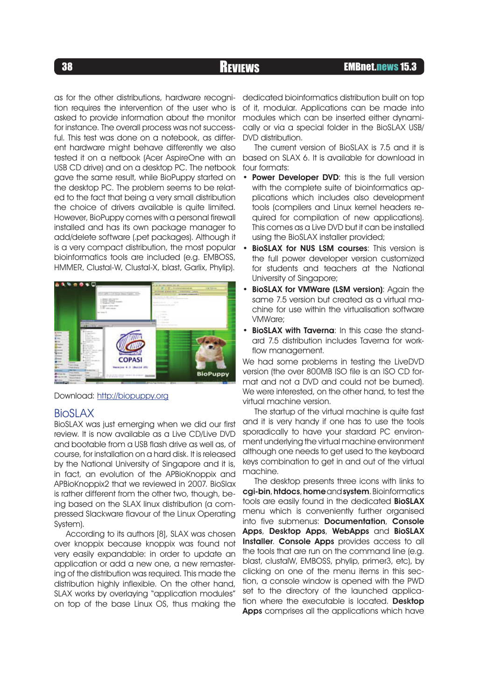# <sup>38</sup> REVIEWS EMBnet.news 15.3

as for the other distributions, hardware recognition requires the intervention of the user who is asked to provide information about the monitor for instance. The overall process was not successful. This test was done on a notebook, as different hardware might behave differently we also tested it on a netbook (Acer AspireOne with an USB CD drive) and on a desktop PC. The netbook gave the same result, while BioPuppy started on the desktop PC. The problem seems to be related to the fact that being a very small distribution the choice of drivers available is quite limited. However, BioPuppy comes with a personal firewall installed and has its own package manager to add/delete software (.pet packages). Although it is a very compact distribution, the most popular bioinformatics tools are included (e.g. EMBOSS, HMMER, Clustal-W, Clustal-X, blast, Garlix, Phylip).



Download: http://biopuppy.org

# BioSLAX

BioSLAX was just emerging when we did our first review. It is now available as a Live CD/Live DVD and bootable from a USB flash drive as well as, of course, for installation on a hard disk. It is released by the National University of Singapore and it is, in fact, an evolution of the APBioKnoppix and APBioKnoppix2 that we reviewed in 2007. BioSlax is rather different from the other two, though, being based on the SLAX linux distribution (a compressed Slackware flavour of the Linux Operating System).

According to its authors [8], SLAX was chosen over knoppix because knoppix was found not very easily expandable: in order to update an application or add a new one, a new remastering of the distribution was required. This made the distribution highly inflexible. On the other hand, SLAX works by overlaying "application modules" on top of the base Linux OS, thus making the dedicated bioinformatics distribution built on top of it, modular. Applications can be made into modules which can be inserted either dynamically or via a special folder in the BioSLAX USB/ DVD distribution.

The current version of BioSLAX is 7.5 and it is based on SLAX 6. It is available for download in four formats:

- Power Developer DVD: this is the full version with the complete suite of bioinformatics applications which includes also development tools (compilers and Linux kernel headers required for compilation of new applications). This comes as a Live DVD but it can be installed using the BioSLAX installer provided;
- BioSLAX for NUS LSM courses: This version is the full power developer version customized for students and teachers at the National University of Singapore; •
- BioSLAX for VMWare (LSM version): Again the same 7.5 version but created as a virtual machine for use within the virtualisation software VMWare; •
- BioSLAX with Taverna: In this case the standard 7.5 distribution includes Taverna for workflow management.

We had some problems in testing the LiveDVD version (the over 800MB ISO file is an ISO CD format and not a DVD and could not be burned). We were interested, on the other hand, to test the virtual machine version.

The startup of the virtual machine is quite fast and it is very handy if one has to use the tools sporadically to have your stardard PC environment underlying the virtual machine environment although one needs to get used to the keyboard keys combination to get in and out of the virtual machine.

The desktop presents three icons with links to cgi-bin, htdocs, home and system. Bioinformatics tools are easily found in the dedicated **BioSLAX** menu which is conveniently further organised into five submenus: Documentation, Console Apps, Desktop Apps, WebApps and BioSLAX Installer. Console Apps provides access to all the tools that are run on the command line (e.g. blast, clustalW, EMBOSS, phylip, primer3, etc), by clicking on one of the menu items in this section, a console window is opened with the PWD set to the directory of the launched application where the executable is located. Desktop Apps comprises all the applications which have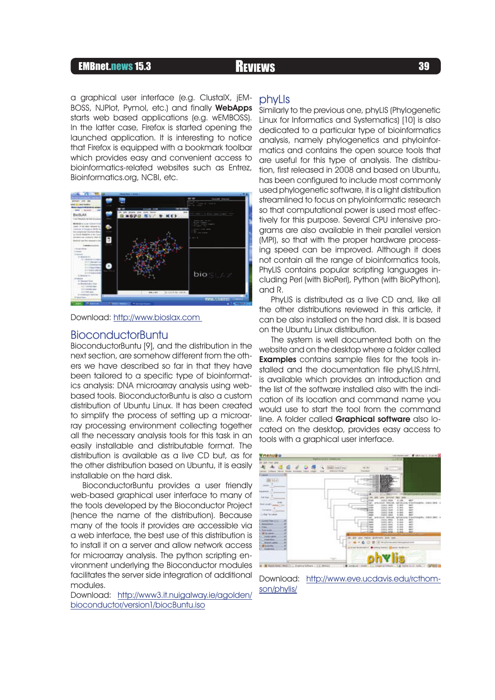# EMBnet.news 15.3 Reviews **Reviews** 39

a graphical user interface (e.g. ClustalX, jEM-BOSS, NJPlot, Pymol, etc.) and finally WebApps starts web based applications (e.g. wEMBOSS). In the latter case, Firefox is started opening the launched application. It is interesting to notice that Firefox is equipped with a bookmark toolbar which provides easy and convenient access to bioinformatics-related websites such as Entrez, Bioinformatics.org, NCBI, etc.



Download: http://www.bioslax.com

#### BioconductorBuntu

BioconductorBuntu [9], and the distribution in the next section, are somehow different from the others we have described so far in that they have been tailored to a specific type of bioinformatics analysis: DNA microarray analysis using webbased tools. BioconductorBuntu is also a custom distribution of Ubuntu Linux. It has been created to simplify the process of setting up a microarray processing environment collecting together all the necessary analysis tools for this task in an easily installable and distributable format. The distribution is available as a live CD but, as for the other distribution based on Ubuntu, it is easily installable on the hard disk.

BioconductorBuntu provides a user friendly web-based graphical user interface to many of the tools developed by the Bioconductor Project (hence the name of the distribution). Because many of the tools it provides are accessible via a web interface, the best use of this distribution is to install it on a server and allow network access for microarray analysis. The python scripting environment underlying the Bioconductor modules facilitates the server side integration of additional modules.

Download: http://www3.it.nuigalway.ie/agolden/ bioconductor/version1/biocBuntu.iso

#### phyLIs

Similarly to the previous one, phyLIS (Phylogenetic Linux for Informatics and Systematics) [10] is also dedicated to a particular type of bioinformatics analysis, namely phylogenetics and phyloinformatics and contains the open source tools that are useful for this type of analysis. The distribution, first released in 2008 and based on Ubuntu, has been configured to include most commonly used phylogenetic software, it is a light distribution streamlined to focus on phyloinformatic research so that computational power is used most effectively for this purpose. Several CPU intensive programs are also available in their parallel version (MPI), so that with the proper hardware processing speed can be improved. Although it does not contain all the range of bioinformatics tools, PhyLIS contains popular scripting languages including Perl (with BioPerl), Python (with BioPython), and R.

PhyLIS is distributed as a live CD and, like all the other distributions reviewed in this article, it can be also installed on the hard disk. It is based on the Ubuntu Linux distribution.

The system is well documented both on the website and on the desktop where a folder called Examples contains sample files for the tools installed and the documentation file phyLIS.html, is available which provides an introduction and the list of the software installed also with the indication of its location and command name you would use to start the tool from the command line. A folder called Graphical software also located on the desktop, provides easy access to tools with a graphical user interface.



Download: http://www.eve.ucdavis.edu/rcthomson/phylis/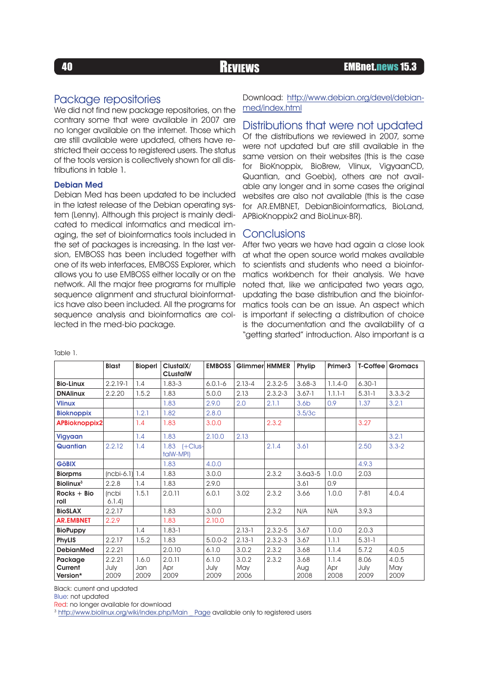# Package repositories

We did not find new package repositories, on the contrary some that were available in 2007 are no longer available on the internet. Those which are still available were updated, others have restricted their access to registered users. The status of the tools version is collectively shown for all distributions in table 1.

#### Debian Med

Debian Med has been updated to be included in the latest release of the Debian operating system (Lenny). Although this project is mainly dedicated to medical informatics and medical imaging, the set of bioinformatics tools included in the set of packages is increasing. In the last version, EMBOSS has been included together with one of its web interfaces, EMBOSS Explorer, which allows you to use EMBOSS either locally or on the network. All the major free programs for multiple sequence alignment and structural bioinformatics have also been included. All the programs for sequence analysis and bioinformatics are collected in the med-bio package.

Download: http://www.debian.org/devel/debianmed/index.html

### Distributions that were not updated

Of the distributions we reviewed in 2007, some were not updated but are still available in the same version on their websites (this is the case for BioKnoppix, BioBrew, Vlinux, VigyaanCD, Quantian, and Goebix), others are not available any longer and in some cases the original websites are also not available (this is the case for AR.EMBNET, DebianBioinformatics, BioLand, APBioKnoppix2 and BioLinux-BR).

## **Conclusions**

After two years we have had again a close look at what the open source world makes available to scientists and students who need a bioinformatics workbench for their analysis. We have noted that, like we anticipated two years ago, updating the base distribution and the bioinformatics tools can be an issue. An aspect which is important if selecting a distribution of choice is the documentation and the availability of a "getting started" introduction. Also important is a

|                              | <b>Blast</b>   | Bioperl     | ClustalX/<br><b>CLustalW</b> | <b>EMBOSS</b> | Glimmer HMMER |             | Phylip           | Primer3     | T-Coffee     | <b>Gromacs</b> |
|------------------------------|----------------|-------------|------------------------------|---------------|---------------|-------------|------------------|-------------|--------------|----------------|
| <b>Bio-Linux</b>             | $2.2.19 - 1$   | 1.4         | $1.83 - 3$                   | $6.0.1 - 6$   | $2.13 - 4$    | $2.3.2 - 5$ | $3.68 - 3$       | $1.1.4 - 0$ | $6,30-1$     |                |
| <b>DNAlinux</b>              | 2.2.20         | 1.5.2       | 1.83                         | 5.0.0         | 2.13          | $2.3.2 - 3$ | $3.67 - 1$       | $1.1.1 - 1$ | $5.31 - 1$   | $3.3.3 - 2$    |
| <b>Vlinux</b>                |                |             | 1.83                         | 2.9.0         | 2.0           | 2.1.1       | 3.6 <sub>b</sub> | 0.9         | 1.37         | 3.2.1          |
| <b>Bioknoppix</b>            |                | 1.2.1       | 1.82                         | 2.8.0         |               |             | 3.5/3c           |             |              |                |
| <b>APBioknoppix2</b>         |                | 1.4         | 1.83                         | 3.0.0         |               | 2.3.2       |                  |             | 3.27         |                |
| Vigyaan                      |                | 1.4         | 1.83                         | 2,10.0        | 2.13          |             |                  |             |              | 3.2.1          |
| Quantian                     | 2.2.12         | 1.4         | 1.83 (+Clus-<br>talW-MPI)    |               |               | 2.1.4       | 3.61             |             | 2.50         | $3.3 - 2$      |
| <b>GöBIX</b>                 |                |             | 1.83                         | 4.0.0         |               |             |                  |             | 4.9.3        |                |
| <b>Biorpms</b>               | $[ncbi-6.1]$   | 1.4         | 1.83                         | 3.0.0         |               | 2.3.2       | $3.6a3-5$        | 1.0.0       | 2.03         |                |
| <b>Biolinux</b> <sup>3</sup> | 2.2.8          | 1.4         | 1.83                         | 2.9.0         |               |             | 3.61             | 0.9         |              |                |
| $Rocks + Bio$<br>roll        | (ncbi<br>6.1.4 | 1.5.1       | 2.0.11                       | 6.0.1         | 3.02          | 2.3.2       | 3.66             | 1.0.0       | $7 - 81$     | 4.0.4          |
| <b>BioSLAX</b>               | 2.2.17         |             | 1.83                         | 3.0.0         |               | 2.3.2       | N/A              | N/A         | 3.9.3        |                |
| <b>AR.EMBNET</b>             | 2.2.9          |             | 1.83                         | 2.10.0        |               |             |                  |             |              |                |
| <b>BioPuppy</b>              |                | 1.4         | $1.83 - 1$                   |               | $2.13 - 1$    | $2.3.2 - 5$ | 3.67             | 1.0.0       | 2.0.3        |                |
| PhyLIS                       | 2.2.17         | 1.5.2       | 1.83                         | $5.0.0 - 2$   | $2.13 - 1$    | $2.3.2 - 3$ | 3.67             | 1.1.1       | $5.31 - 1$   |                |
| <b>DebianMed</b>             | 2.2.21         |             | 2.0.10                       | 6.1.0         | 3.0.2         | 2.3.2       | 3.68             | 1.1.4       | 5.7.2        | 4.0.5          |
| Package                      | 2.2.21         | 1.6.0       | 2.0.11                       | 6.1.0         | 3.0.2         | 2.3.2       | 3.68             | 1.1.4       | 8.06         | 4.0.5          |
| Current<br>Version*          | July<br>2009   | Jan<br>2009 | Apr<br>2009                  | July<br>2009  | May<br>2006   |             | Aug<br>2008      | Apr<br>2008 | July<br>2009 | May<br>2009    |

Table 1.

Black: current and updated

Blue: not updated

Red: no longer available for download

<sup>3</sup> http://www.biolinux.org/wiki/index.php/Main Page available only to registered users